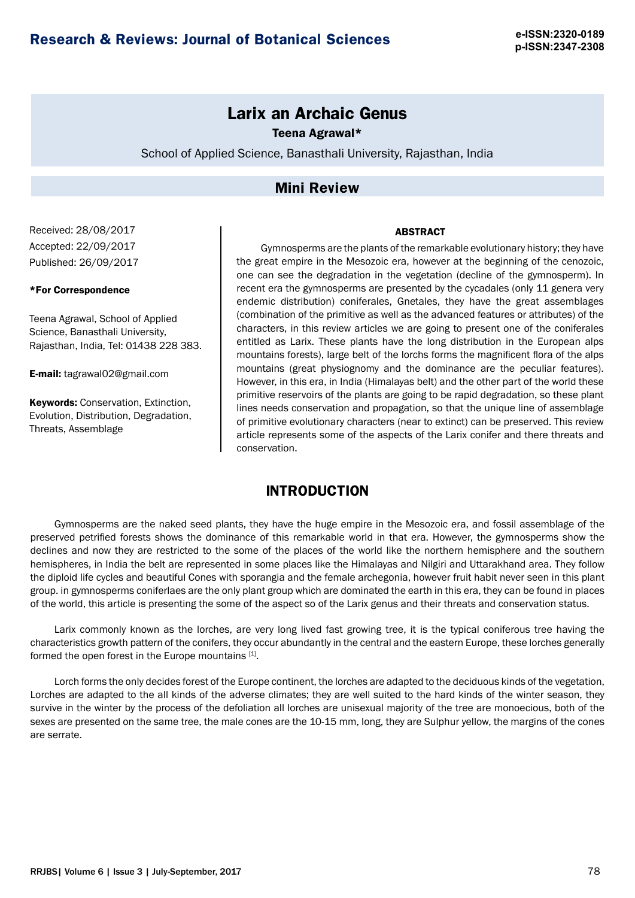# **Larix an Archaic Genus**

Teena Agrawal\*

School of Applied Science, Banasthali University, Rajasthan, India

### **Mini Review**

Received: 28/08/2017 Accepted: 22/09/2017 Published: 26/09/2017

#### \*For Correspondence

Teena Agrawal, School of Applied Science, Banasthali University, Rajasthan, India, Tel: 01438 228 383.

E-mail: [tagrawal02@gmail.com](mailto:tagrawal02@gmail.com)

Keywords: Conservation, Extinction, Evolution, Distribution, Degradation, Threats, Assemblage

Gymnosperms are the plants of the remarkable evolutionary history; they have the great empire in the Mesozoic era, however at the beginning of the cenozoic, one can see the degradation in the vegetation (decline of the gymnosperm). In recent era the gymnosperms are presented by the cycadales (only 11 genera very endemic distribution) coniferales, Gnetales, they have the great assemblages (combination of the primitive as well as the advanced features or attributes) of the characters, in this review articles we are going to present one of the coniferales entitled as Larix. These plants have the long distribution in the European alps mountains forests), large belt of the lorchs forms the magnificent flora of the alps mountains (great physiognomy and the dominance are the peculiar features). However, in this era, in India (Himalayas belt) and the other part of the world these primitive reservoirs of the plants are going to be rapid degradation, so these plant lines needs conservation and propagation, so that the unique line of assemblage of primitive evolutionary characters (near to extinct) can be preserved. This review article represents some of the aspects of the Larix conifer and there threats and conservation.

**ARSTRACT** 

## **INTRODUCTION**

Gymnosperms are the naked seed plants, they have the huge empire in the Mesozoic era, and fossil assemblage of the preserved petrified forests shows the dominance of this remarkable world in that era. However, the gymnosperms show the declines and now they are restricted to the some of the places of the world like the northern hemisphere and the southern hemispheres, in India the belt are represented in some places like the Himalayas and Nilgiri and Uttarakhand area. They follow the diploid life cycles and beautiful Cones with sporangia and the female archegonia, however fruit habit never seen in this plant group. in gymnosperms coniferlaes are the only plant group which are dominated the earth in this era, they can be found in places of the world, this article is presenting the some of the aspect so of the Larix genus and their threats and conservation status.

Larix commonly known as the lorches, are very long lived fast growing tree, it is the typical coniferous tree having the characteristics growth pattern of the conifers, they occur abundantly in the central and the eastern Europe, these lorches generally formed the open forest in the Europe mountains [1].

Lorch forms the only decides forest of the Europe continent, the lorches are adapted to the deciduous kinds of the vegetation, Lorches are adapted to the all kinds of the adverse climates; they are well suited to the hard kinds of the winter season, they survive in the winter by the process of the defoliation all lorches are unisexual majority of the tree are monoecious, both of the sexes are presented on the same tree, the male cones are the 10-15 mm, long, they are Sulphur yellow, the margins of the cones are serrate.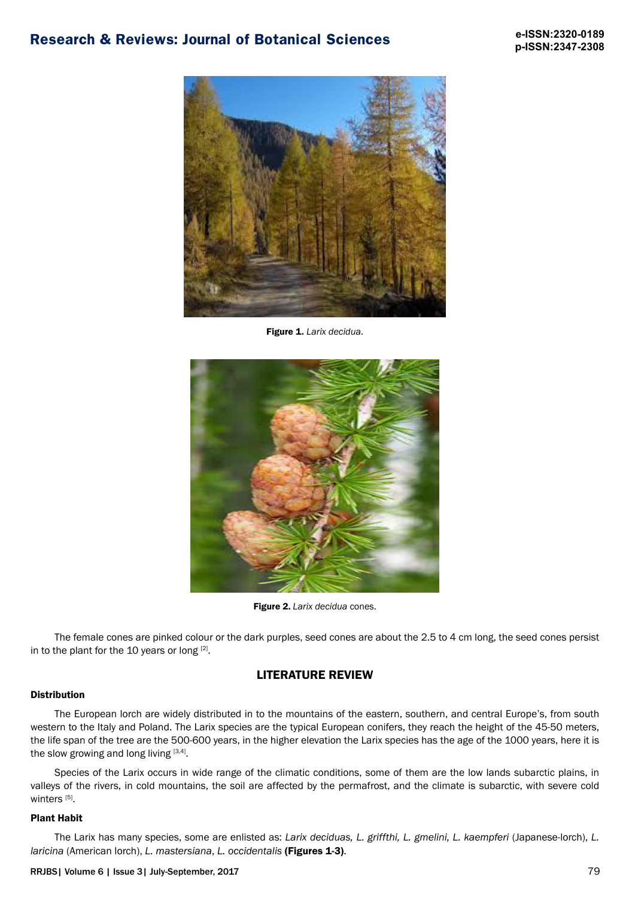# **Research & Reviews: Journal of Botanical Sciences e-ISSN:2320-0189**



Figure 1. *Larix decidua*.



Figure 2. *Larix decidua* cones.

The female cones are pinked colour or the dark purples, seed cones are about the 2.5 to 4 cm long, the seed cones persist in to the plant for the 10 years or long  $[2]$ .

## LITERATURE REVIEW

#### Distribution

The European lorch are widely distributed in to the mountains of the eastern, southern, and central Europe's, from south western to the Italy and Poland. The Larix species are the typical European conifers, they reach the height of the 45-50 meters, the life span of the tree are the 500-600 years, in the higher elevation the Larix species has the age of the 1000 years, here it is the slow growing and long living  $[3,4]$ .

Species of the Larix occurs in wide range of the climatic conditions, some of them are the low lands subarctic plains, in valleys of the rivers, in cold mountains, the soil are affected by the permafrost, and the climate is subarctic, with severe cold winters<sup>[5]</sup>.

#### Plant Habit

The Larix has many species, some are enlisted as: *Larix deciduas, L. griffthi, L. gmelini, L. kaempferi* (Japanese-lorch), *L. laricina* (American lorch), *L. mastersiana*, *L. occidentalis* (Figures 1-3).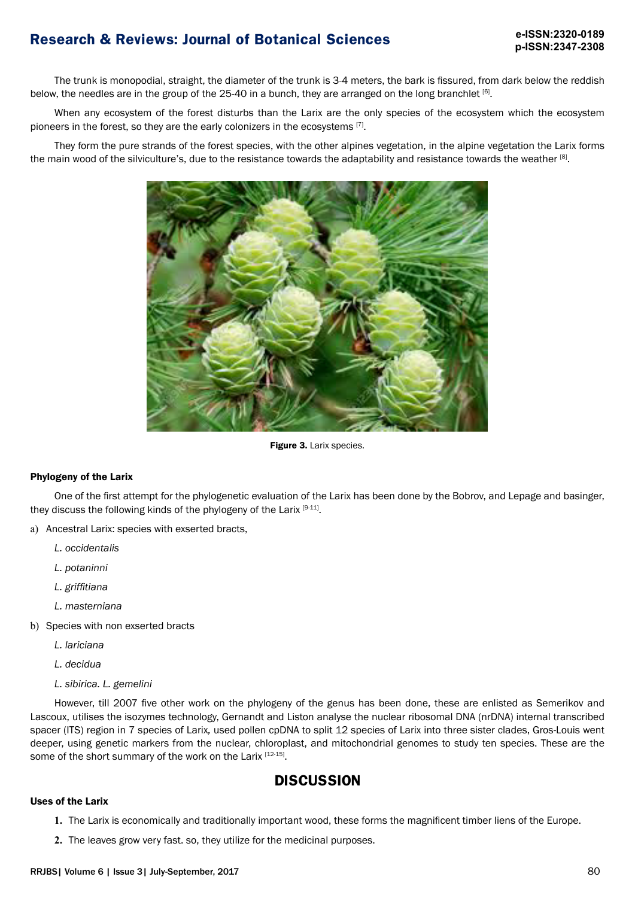# **p-ISSN:2347-2308**

# **Research & Reviews: Journal of Botanical Sciences e-ISSN:2320-0189**

The trunk is monopodial, straight, the diameter of the trunk is 3-4 meters, the bark is fissured, from dark below the reddish below, the needles are in the group of the 25-40 in a bunch, they are arranged on the long branchlet [6].

When any ecosystem of the forest disturbs than the Larix are the only species of the ecosystem which the ecosystem pioneers in the forest, so they are the early colonizers in the ecosystems [7].

They form the pure strands of the forest species, with the other alpines vegetation, in the alpine vegetation the Larix forms the main wood of the silviculture's, due to the resistance towards the adaptability and resistance towards the weather [8].



Figure 3. Larix species.

### Phylogeny of the Larix

One of the first attempt for the phylogenetic evaluation of the Larix has been done by the Bobrov, and Lepage and basinger, they discuss the following kinds of the phylogeny of the Larix [9-11].

- a) Ancestral Larix: species with exserted bracts,
	- *L. occidentalis*
	- *L. potaninni*
	- *L. griffitiana*
	- *L. masterniana*
- b) Species with non exserted bracts
	- *L. lariciana*
	- *L. decidua*
	- *L. sibirica. L. gemelini*

However, till 2007 five other work on the phylogeny of the genus has been done, these are enlisted as Semerikov and Lascoux, utilises the isozymes technology, Gernandt and Liston analyse the nuclear ribosomal DNA (nrDNA) internal transcribed spacer (ITS) region in 7 species of Larix*,* used pollen cpDNA to split 12 species of Larix into three sister clades, Gros-Louis went deeper, using genetic markers from the nuclear, chloroplast, and mitochondrial genomes to study ten species. These are the some of the short summary of the work on the Larix [12-15].

## **DISCUSSION**

#### Uses of the Larix

- **1.** The Larix is economically and traditionally important wood, these forms the magnificent timber liens of the Europe.
- **2.** The leaves grow very fast. so, they utilize for the medicinal purposes.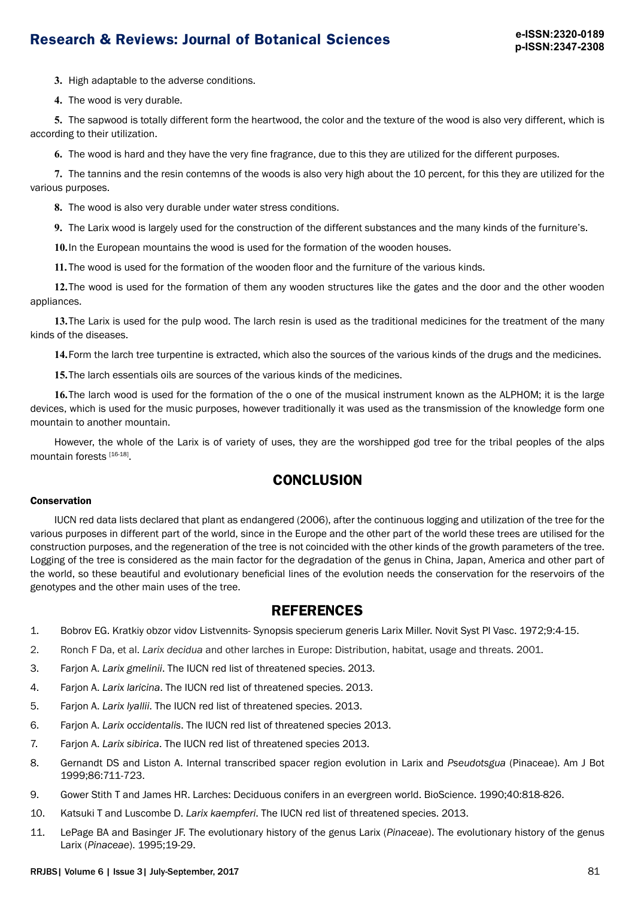# **Research & Reviews: Journal of Botanical Sciences e-ISSN:2320-0189**

**3.** High adaptable to the adverse conditions.

**4.** The wood is very durable.

**5.** The sapwood is totally different form the heartwood, the color and the texture of the wood is also very different, which is according to their utilization.

**6.** The wood is hard and they have the very fine fragrance, due to this they are utilized for the different purposes.

**7.** The tannins and the resin contemns of the woods is also very high about the 10 percent, for this they are utilized for the various purposes.

**8.** The wood is also very durable under water stress conditions.

**9.** The Larix wood is largely used for the construction of the different substances and the many kinds of the furniture's.

**10.**In the European mountains the wood is used for the formation of the wooden houses.

**11.** The wood is used for the formation of the wooden floor and the furniture of the various kinds.

**12.**The wood is used for the formation of them any wooden structures like the gates and the door and the other wooden appliances.

**13.**The Larix is used for the pulp wood. The larch resin is used as the traditional medicines for the treatment of the many kinds of the diseases.

**14.**Form the larch tree turpentine is extracted, which also the sources of the various kinds of the drugs and the medicines.

**15.**The larch essentials oils are sources of the various kinds of the medicines.

**16.**The larch wood is used for the formation of the o one of the musical instrument known as the ALPHOM; it is the large devices, which is used for the music purposes, however traditionally it was used as the transmission of the knowledge form one mountain to another mountain.

However, the whole of the Larix is of variety of uses, they are the worshipped god tree for the tribal peoples of the alps mountain forests [16-18].

### **CONCLUSION**

### Conservation

IUCN red data lists declared that plant as endangered (2006), after the continuous logging and utilization of the tree for the various purposes in different part of the world, since in the Europe and the other part of the world these trees are utilised for the construction purposes, and the regeneration of the tree is not coincided with the other kinds of the growth parameters of the tree. Logging of the tree is considered as the main factor for the degradation of the genus in China, Japan, America and other part of the world, so these beautiful and evolutionary beneficial lines of the evolution needs the conservation for the reservoirs of the genotypes and the other main uses of the tree.

### **REFERENCES**

- 1. Bobrov EG. Kratkiy obzor vidov Listvennits- Synopsis specierum generis Larix Miller. Novit Syst Pl Vasc. 1972;9:4-15.
- 2. Ronch F Da, et al. *Larix decidua* and other larches in Europe: Distribution, habitat, usage and threats. 2001.
- 3. Farjon A. *Larix gmelinii*. The IUCN red list of threatened species. 2013.
- 4. Farjon A. *Larix laricina*. The IUCN red list of threatened species. 2013.
- 5. Farjon A. *Larix lyallii*. The IUCN red list of threatened species. 2013.
- 6. Farjon A. *Larix occidentalis*. The IUCN red list of threatened species 2013.
- 7. Farjon A. *Larix sibirica*. The IUCN red list of threatened species 2013.
- 8. Gernandt DS and Liston A. Internal transcribed spacer region evolution in Larix and *Pseudotsgua* (Pinaceae). Am J Bot 1999;86:711-723.
- 9. Gower Stith T and James HR. Larches: Deciduous conifers in an evergreen world. BioScience. 1990;40:818-826.
- 10. Katsuki T and Luscombe D. *Larix kaempferi*. The IUCN red list of threatened species. 2013.
- 11. LePage BA and Basinger JF. The evolutionary history of the genus Larix (*Pinaceae*). The evolutionary history of the genus Larix (*Pinaceae*). 1995;19-29.